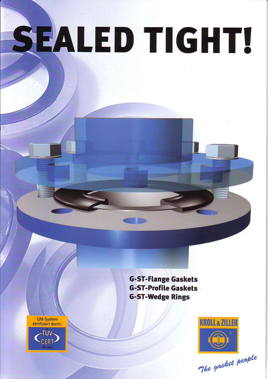# SEALED TIGHT!

QM-System<br>zertifiziert durch:



**G-ST-Flange Gaskets G-ST-Profile Gaskets G-ST-Wedge Rings** 



The gasket people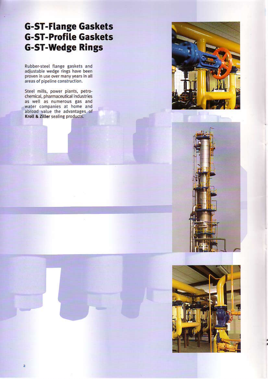## **G-ST-Flange Gaskets G-ST-Profile Gaskets G-ST-Wedge Rings**

Rubber-steel flange gaskets and adjustable wedge rings have been proven in use over many years in all areas of pipeline construction.

Steel mills, power plants, petro-<br>chemical, pharmaceutical industries as well as numerous gas and<br>water companies at home and<br>abroad value the advantages of Kroll & Ziller sealing products.





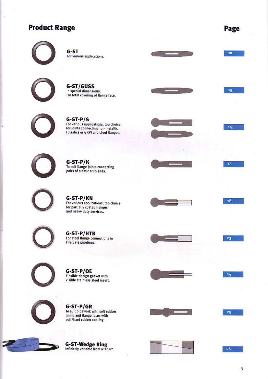## **Product Range**

Page

 $10<sup>°</sup>$ 

13

14

16

18

23

24

25



G-ST For various applications.

G-ST/GUSS In special dimensions. For total covering of flange face.



 $G-ST-P/S$ For various applications, top choice<br>for joints connecting non-metallic<br>(plastics or GRP) and steel flanges.



G-ST-P/K<br>To suit flange joints connecting pairs of plastic stub ends.



G-ST-P/KN<br>For various applications, top choice<br>for partially coated flanges and heavy duty services.



**G-ST-P/HTB**<br>For steel flange connections in **Fire Safe pipelines.** 

G-ST-P/OE<br>Flexible design gasket with<br>visible stainless steel insert.



 $G-ST-P/GR$ To suit pipework with soft rubber<br>lining and flange faces with soft/hard rubber coating.







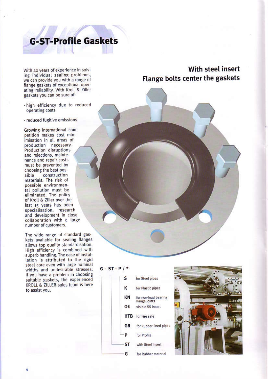## **G-ST-Profile Gaskets**

With 40 years of experience in solving individual sealing problems, we can provide you with a range of flange gaskets of exceptional operating reliability. With Kroll & Ziller gaskets you can be sure of:

- · high efficiency due to reduced operating costs
- · reduced fugitive emissions

Growing international competition makes cost minimisation in all areas of production necessary. Production disruptions and rejections, maintenance and repair costs must be prevented by choosing the best posconstruction sible materials. The risk of possible environmental pollution must be eliminated. The policy of Kroll & Ziller over the last 15 years has been specialisation, research and development in close collaboration with a large number of customers.

The wide range of standard gaskets available for sealing flanges allows top quality standardisation. High efficiency is combined with superb handling. The ease of installation is attributed to the rigid steel core even with large nominal widths and undesirable stresses. If you have a problem in choosing suitable gaskets, the experienced KROLL & ZILLER sales team is here to assist you.

## With steel insert Flange bolts center the gaskets

#### $G - ST - P / *$

#### for Steel pipes s Κ for Plastic pipes KN for non-load bearing flange joints OE visible SS insert **HTB** for Fire safe **GR** for Rubber lined pipes P for Profile **ST** with Steel insert

for Rubber material

G

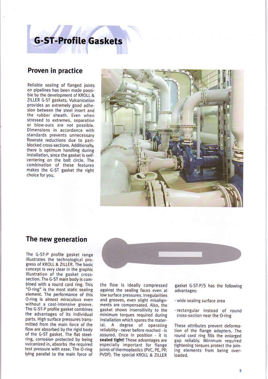# **G-ST-Profile Gaskets**

## Proven in practice

Reliable sealing of flanged joints on pipelines has been made possible by the development of KROLL & ZILLER G-ST gaskets. Vulcanization provides an extremely good adhesion between the steel insert and the rubber sheath. Even when stressed to extremes, separation or blow-outs are not possible. Dimensions in accordance with standards prevents unnecessary flowrate reductions due to partblocked cross-sections. Additionally, there is optimum handling during installation, since the gasket is selfcentering on the bolt circle. The combination of these features makes the G-ST gasket the right choice for you.



#### The new generation

The G-ST-P profile gasket range illustrates the technological progress of KROLL & ZILLER. The basic concept is very clear in the graphic illustration of the gasket crosssection. The G-ST main body is combined with a round cord ring. This "O-ring" is the most static sealing element. The performance of this O-ring is almost miraculous even without a cost-intensive groove. The G-ST-P profile gasket combines the advantages of its individual parts. High surface pressures transmitted from the main force of the flow are absorbed by the rigid body of the G-ST gasket. The flat steelring, corrosion protected by being vulcanized in, absorbs the required test pressure with ease. The O-ring lying parallel to the main force of



the flow is ideally compressed against the sealing faces even at low surface pressures. Irregularities and grooves, even slight misalignments are compensated. Also, the gasket shows insensitivity to the minimum torques required during installation which spares the materdegree of operating ial.  $\mathbf{A}$ reliability - never before reached - is assured. Once in position - it is sealed tight! These advantages are especially important for flange joints of thermoplastics (PVC, PE, PP, PVDF). The special KROLL & ZILLER

gasket G-ST-P/S has the following advantages:

- · wide sealing surface area
- · rectangular instead of round cross-section near the O-ring

These attributes prevent deformation of the flange adapters. The round cord ring fills the enlarged gap reliably. Minimum required tightening torques protect the joining elements from being overloaded.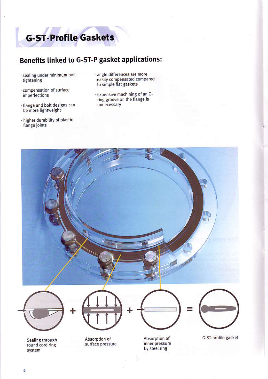

## Benefits linked to G-ST-P gasket applications:

- · sealing under minimum bolt tightening
- · compensation of surface imperfections
- · flange and bolt designs can be more lightweight
- higher durability of plastic flange joints
- · angle differences are more easily compensated compared to simple flat gaskets
- · expensive machining of an Oring groove on the flange is unnecessary

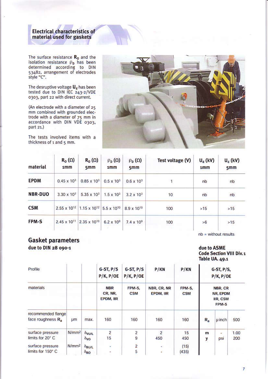# Electrical characteristics of<br>material used for gaskets

The surface resistance  $R_0$  and the isolation resistance  $\rho_b$  has been<br>determined according to DIN<br>53482, arrangement of electrodes style "C".

The desruptive voltage  $U_d$  has been<br>tested due to DIN IEC 243-2/VDE<br>0303, part 22 with direct current.

(An electrode with a diameter of 25 mm combined with grounded electrode with a diameter of 75 mm in accordance with DIN VDE 0303, part 21.)

The tests involved items with a thickness of 1 and 5 mm.



| material       | $R_0(\Omega)$<br>1mm    | $R_0(\Omega)$<br>5 <sub>mm</sub>                                       | $\rho_{\rm D}(\Omega)$<br>1 <sub>mm</sub> | $\rho_{\rm D}(\Omega)$<br>5mm | Test voltage (V) | $U_{d}$ (kV)<br>1mm | $U_{d}$ (kV)<br>5 <sub>mm</sub> |  |
|----------------|-------------------------|------------------------------------------------------------------------|-------------------------------------------|-------------------------------|------------------|---------------------|---------------------------------|--|
| <b>EPDM</b>    | $0.45 \times 10^{3}$    | $0.85 \times 10^{3}$                                                   | $0.5 \times 10^{3}$                       | $0.6 \times 10^{3}$           |                  | nb                  | nb                              |  |
| <b>NBR-DUO</b> | $3.30 \times 10^{3}$    | $5.35 \times 10^{3}$                                                   | $1.5 \times 10^{3}$                       | $3.2 \times 10^{3}$           | 10               | nb                  | nb                              |  |
| CSM            |                         | 2.55 x 10 <sup>12</sup> 1.15 x 10 <sup>12</sup> 5.5 x 10 <sup>10</sup> |                                           | 8.9 x 10 <sup>10</sup>        | 100              | >15                 | >15                             |  |
| FPM-S          | 2.45 x 10 <sup>11</sup> | 2.35 x 10 <sup>10</sup>                                                | $6.2 \times 10^9$                         | $7.4 \times 10^9$             | 100              | >6                  | >15                             |  |

 $nb = without results$ 

## **Gasket parameters**

due to DIN 28 090-1

due to ASME **Code Section VIII Div. 1** Table UA. 49.1

| Profile                                    |                   |                                            | $G-ST, P/S$<br>$P/K$ , $P/OE$<br><b>NBR</b><br>CR, NR,<br>EPDM, IIR | $G-ST, P/S$<br>$P/K$ , $P/OE$<br>FPM-S.<br>CSM | P/KN<br>NBR, CR, NR<br>EPDM, IIR | P/KN<br>FPM-S,<br><b>CSM</b> | $G-ST, P/S,$<br>$P/K$ , $P/OE$<br>NBR, CR<br>NR, EPDM<br>IIR, CSM<br>FPM-S |          |             |
|--------------------------------------------|-------------------|--------------------------------------------|---------------------------------------------------------------------|------------------------------------------------|----------------------------------|------------------------------|----------------------------------------------------------------------------|----------|-------------|
| materials                                  |                   |                                            |                                                                     |                                                |                                  |                              |                                                                            |          |             |
| recommended flange<br>face roughness $R_a$ | <b>um</b>         | max.                                       | 160                                                                 | 160                                            | 160                              | 160                          | $R_{a}$                                                                    | µ inch   | 500         |
| surface pressure<br>limits for 20° C       | N/mm <sup>2</sup> | $\delta$ VU/L<br>$\delta$ vo               | $\overline{\mathbf{c}}$<br>15 <sub>1</sub>                          | $\frac{2}{9}$                                  | $\overline{2}$<br>450            | 15<br>450                    | m<br>y                                                                     | ٠<br>psi | 1.00<br>200 |
| surface pressure<br>limits for 150° C      | N/mm <sup>2</sup> | $\delta_{\text{BUL}}$<br>$\delta_{\rm BO}$ | ٠<br>٠                                                              | $\overline{c}$<br>5                            | 승<br>ä,                          | (15)<br>(435)                |                                                                            |          |             |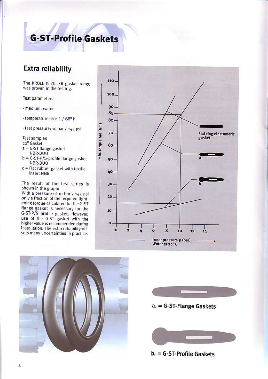## **G-ST-Profile Gaskets**

## **Extra reliability**

The KROLL & ZILLER gasket range was proven in the testing.

Test parameters:

- · medium: water
- · temperature: 20° C / 68° F

· test pressure: 10 bar / 143 psi

**Test samples** 

20" Gasket

- $a = G-ST$  flange gasket NBR-DUO
- $b = G-ST-P/S$ -profile flange gasket NBR-DUO
- $c$  = Flat rubber gasket with textile insert NBR

The result of the test series is shown in the graph:

With a pressure of 10 bar / 143 psi only a fraction of the required tightening torque calculated for the G-ST flange gasket is necessary for the G-ST-P/S profile gasket. However, use of the G-ST gasket with the higher value is recommended during installation. The extra reliability offsets many uncertainties in practice.







## b. = G-ST-Profile Gaskets